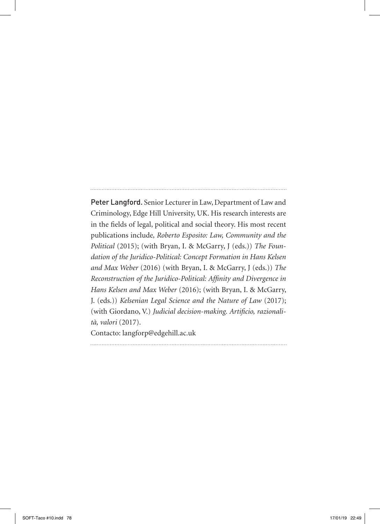Peter Langford. Senior Lecturer in Law, Department of Law and Criminology, Edge Hill University, UK. His research interests are in the fields of legal, political and social theory. His most recent publications include*, Roberto Esposito: Law, Community and the Political* (2015); (with Bryan, I. & McGarry, J (eds.)) *The Foundation of the Juridico-Political: Concept Formation in Hans Kelsen and Max Weber* (2016) (with Bryan, I. & McGarry, J (eds.)) *The Reconstruction of the Juridico-Political: Affinity and Divergence in Hans Kelsen and Max Weber* (2016); (with Bryan, I. & McGarry, J. (eds.)) *Kelsenian Legal Science and the Nature of Law* (2017); (with Giordano, V.) *Judicial decision-making. Artificio, razionalità, valori* (2017). Contacto: langforp@edgehill.ac.uk

SOFT-Taco #10.indd 78 17/01/19 22:49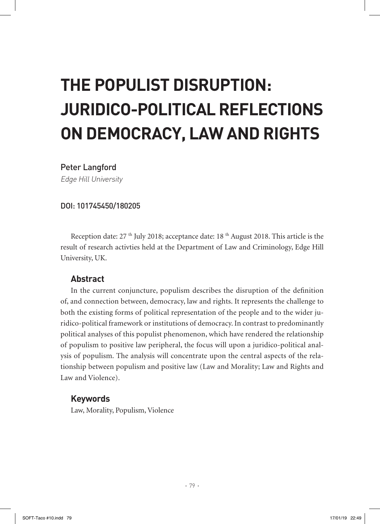# **THE POPULIST DISRUPTION: JURIDICO-POLITICAL REFLECTIONS ON DEMOCRACY, LAW AND RIGHTS**

## Peter Langford

Edge Hill University

#### DOI: 101745450/180205

Reception date:  $27<sup>th</sup>$  July 2018; acceptance date:  $18<sup>th</sup>$  August 2018. This article is the result of research activties held at the Department of Law and Criminology, Edge Hill University, UK.

## **Abstract**

In the current conjuncture, populism describes the disruption of the definition of, and connection between, democracy, law and rights. It represents the challenge to both the existing forms of political representation of the people and to the wider juridico-political framework or institutions of democracy. In contrast to predominantly political analyses of this populist phenomenon, which have rendered the relationship of populism to positive law peripheral, the focus will upon a juridico-political analysis of populism. The analysis will concentrate upon the central aspects of the relationship between populism and positive law (Law and Morality; Law and Rights and Law and Violence).

## **Keywords**

Law, Morality, Populism, Violence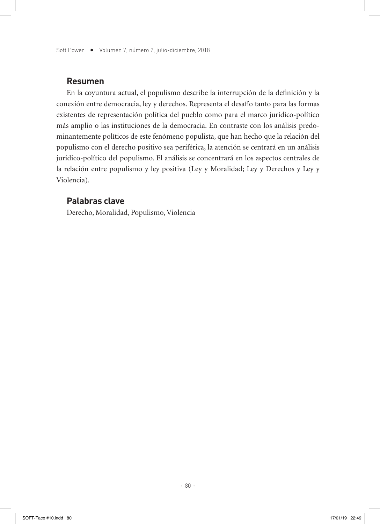Soft Power • Volumen 7, número 2, julio-diciembre, 2018

#### **Resumen**

En la coyuntura actual, el populismo describe la interrupción de la definición y la conexión entre democracia, ley y derechos. Representa el desafío tanto para las formas existentes de representación política del pueblo como para el marco jurídico-político más amplio o las instituciones de la democracia. En contraste con los análisis predominantemente políticos de este fenómeno populista, que han hecho que la relación del populismo con el derecho positivo sea periférica, la atención se centrará en un análisis jurídico-político del populismo. El análisis se concentrará en los aspectos centrales de la relación entre populismo y ley positiva (Ley y Moralidad; Ley y Derechos y Ley y Violencia).

## **Palabras clave**

Derecho, Moralidad, Populismo, Violencia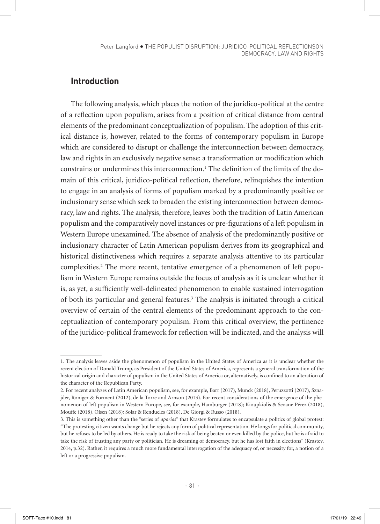## **Introduction**

The following analysis, which places the notion of the juridico-political at the centre of a reflection upon populism, arises from a position of critical distance from central elements of the predominant conceptualization of populism. The adoption of this critical distance is, however, related to the forms of contemporary populism in Europe which are considered to disrupt or challenge the interconnection between democracy, law and rights in an exclusively negative sense: a transformation or modification which constrains or undermines this interconnection.<sup>1</sup> The definition of the limits of the domain of this critical, juridico-political reflection, therefore, relinquishes the intention to engage in an analysis of forms of populism marked by a predominantly positive or inclusionary sense which seek to broaden the existing interconnection between democracy, law and rights. The analysis, therefore, leaves both the tradition of Latin American populism and the comparatively novel instances or pre-figurations of a left populism in Western Europe unexamined. The absence of analysis of the predominantly positive or inclusionary character of Latin American populism derives from its geographical and historical distinctiveness which requires a separate analysis attentive to its particular complexities.<sup>2</sup> The more recent, tentative emergence of a phenomenon of left populism in Western Europe remains outside the focus of analysis as it is unclear whether it is, as yet, a sufficiently well-delineated phenomenon to enable sustained interrogation of both its particular and general features.<sup>3</sup> The analysis is initiated through a critical overview of certain of the central elements of the predominant approach to the conceptualization of contemporary populism. From this critical overview, the pertinence of the juridico-political framework for reflection will be indicated, and the analysis will

<sup>1.</sup> The analysis leaves aside the phenomenon of populism in the United States of America as it is unclear whether the recent election of Donald Trump, as President of the United States of America, represents a general transformation of the historical origin and character of populism in the United States of America or, alternatively, is confined to an alteration of the character of the Republican Party.

<sup>2.</sup> For recent analyses of Latin American populism, see, for example, Barr (2017), Munck (2018), Peruzzotti (2017), Sznajder, Roniger & Forment (2012), de la Torre and Arnson (2013). For recent considerations of the emergence of the phenomenon of left populism in Western Europe, see, for example, Hamburger (2018); Kioupkiolis & Seoane Pérez (2018), Mouffe (2018), Olsen (2018); Solar & Rendueles (2018), De Giorgi & Russo (2018).

<sup>3.</sup> This is something other than the "series of *aporias*" that Krastev formulates to encapsulate a politics of global protest: "The protesting citizen wants change but he rejects any form of political representation. He longs for political community, but he refuses to be led by others. He is ready to take the risk of being beaten or even killed by the police, but he is afraid to take the risk of trusting any party or politician. He is dreaming of democracy, but he has lost faith in elections" (Krastev, 2014, p.32). Rather, it requires a much more fundamental interrogation of the adequacy of, or necessity for, a notion of a left or a progressive populism.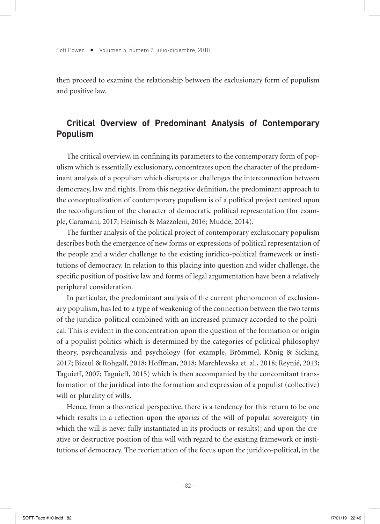then proceed to examine the relationship between the exclusionary form of populism and positive law.

# **Critical Overview of Predominant Analysis of Contemporary Populism**

The critical overview, in confining its parameters to the contemporary form of populism which is essentially exclusionary, concentrates upon the character of the predominant analysis of a populism which disrupts or challenges the interconnection between democracy, law and rights. From this negative definition, the predominant approach to the conceptualization of contemporary populism is of a political project centred upon the reconfiguration of the character of democratic political representation (for example, Caramani, 2017; Heinisch & Mazzoleni, 2016; Mudde, 2014).

The further analysis of the political project of contemporary exclusionary populism describes both the emergence of new forms or expressions of political representation of the people and a wider challenge to the existing juridico-political framework or institutions of democracy. In relation to this placing into question and wider challenge, the specific position of positive law and forms of legal argumentation have been a relatively peripheral consideration.

In particular, the predominant analysis of the current phenomenon of exclusionary populism, has led to a type of weakening of the connection between the two terms of the juridico-political combined with an increased primacy accorded to the political. This is evident in the concentration upon the question of the formation or origin of a populist politics which is determined by the categories of political philosophy/ theory, psychoanalysis and psychology (for example, Brömmel, König & Sicking, 2017; Bizeul & Rohgalf, 2018; Hoffman, 2018; Marchlewska et. al., 2018; Reynié, 2013; Taguieff, 2007; Taguieff, 2015) which is then accompanied by the concomitant transformation of the juridical into the formation and expression of a populist (collective) will or plurality of wills.

Hence, from a theoretical perspective, there is a tendency for this return to be one which results in a reflection upon the *aporias* of the will of popular sovereignty (in which the will is never fully instantiated in its products or results); and upon the creative or destructive position of this will with regard to the existing framework or institutions of democracy. The reorientation of the focus upon the juridico-political, in the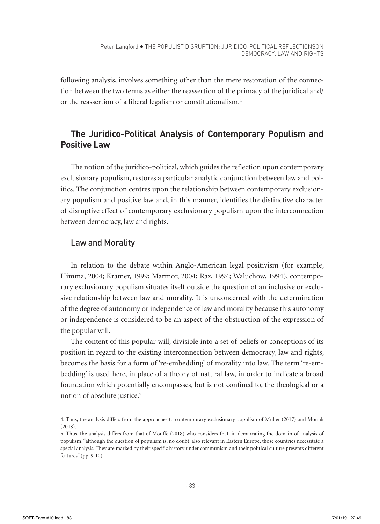following analysis, involves something other than the mere restoration of the connection between the two terms as either the reassertion of the primacy of the juridical and/ or the reassertion of a liberal legalism or constitutionalism.4

# **The Juridico-Political Analysis of Contemporary Populism and Positive Law**

The notion of the juridico-political, which guides the reflection upon contemporary exclusionary populism, restores a particular analytic conjunction between law and politics. The conjunction centres upon the relationship between contemporary exclusionary populism and positive law and, in this manner, identifies the distinctive character of disruptive effect of contemporary exclusionary populism upon the interconnection between democracy, law and rights.

## Law and Morality

In relation to the debate within Anglo-American legal positivism (for example, Himma, 2004; Kramer, 1999; Marmor, 2004; Raz, 1994; Waluchow, 1994), contemporary exclusionary populism situates itself outside the question of an inclusive or exclusive relationship between law and morality. It is unconcerned with the determination of the degree of autonomy or independence of law and morality because this autonomy or independence is considered to be an aspect of the obstruction of the expression of the popular will.

The content of this popular will, divisible into a set of beliefs or conceptions of its position in regard to the existing interconnection between democracy, law and rights, becomes the basis for a form of 're-embedding' of morality into law. The term 're-embedding' is used here, in place of a theory of natural law, in order to indicate a broad foundation which potentially encompasses, but is not confined to, the theological or a notion of absolute justice.5

<sup>4.</sup> Thus, the analysis differs from the approaches to contemporary exclusionary populism of Müller (2017) and Mounk (2018).

<sup>5.</sup> Thus, the analysis differs from that of Mouffe (2018) who considers that, in demarcating the domain of analysis of populism, "although the question of populism is, no doubt, also relevant in Eastern Europe, those countries necessitate a special analysis. They are marked by their specific history under communism and their political culture presents different features" (pp. 9-10).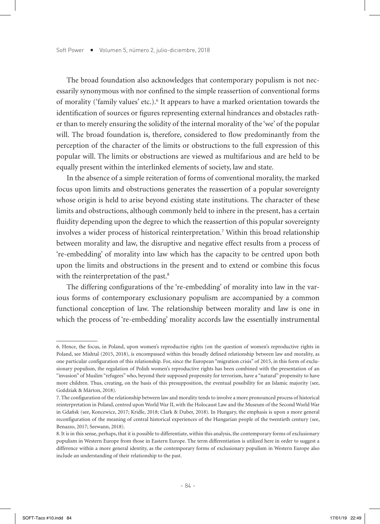The broad foundation also acknowledges that contemporary populism is not necessarily synonymous with nor confined to the simple reassertion of conventional forms of morality ('family values' etc.).<sup>6</sup> It appears to have a marked orientation towards the identification of sources or figures representing external hindrances and obstacles rather than to merely ensuring the solidity of the internal morality of the 'we' of the popular will. The broad foundation is, therefore, considered to flow predominantly from the perception of the character of the limits or obstructions to the full expression of this popular will. The limits or obstructions are viewed as multifarious and are held to be equally present within the interlinked elements of society, law and state.

In the absence of a simple reiteration of forms of conventional morality, the marked focus upon limits and obstructions generates the reassertion of a popular sovereignty whose origin is held to arise beyond existing state institutions. The character of these limits and obstructions, although commonly held to inhere in the present, has a certain fluidity depending upon the degree to which the reassertion of this popular sovereignty involves a wider process of historical reinterpretation.7 Within this broad relationship between morality and law, the disruptive and negative effect results from a process of 're-embedding' of morality into law which has the capacity to be centred upon both upon the limits and obstructions in the present and to extend or combine this focus with the reinterpretation of the past.<sup>8</sup>

The differing configurations of the 're-embedding' of morality into law in the various forms of contemporary exclusionary populism are accompanied by a common functional conception of law. The relationship between morality and law is one in which the process of 're-embedding' morality accords law the essentially instrumental

<sup>6.</sup> Hence, the focus, in Poland, upon women's reproductive rights (on the question of women's reproductive rights in Poland, see Mishtal (2015, 2018), is encompassed within this broadly defined relationship between law and morality, as one particular configuration of this relationship. For, since the European "migration crisis" of 2015, in this form of exclusionary populism, the regulation of Polish women's reproductive rights has been combined with the presentation of an "invasion" of Muslim "refugees" who, beyond their supposed propensity for terrorism, have a "natural" propensity to have more children. Thus, creating, on the basis of this presupposition, the eventual possibility for an Islamic majority (see, Goździak & Márton, 2018).

<sup>7.</sup> The configuration of the relationship between law and morality tends to involve a more pronounced process of historical reinterpretation in Poland, centred upon World War II, with the Holocaust Law and the Museum of the Second World War in Gdańsk (see, Koncewicz, 2017; Kridle, 2018; Clark & Duber, 2018). In Hungary, the emphasis is upon a more general reconfiguration of the meaning of central historical experiences of the Hungarian people of the twentieth century (see, Benazzo, 2017; Seewann, 2018).

<sup>8.</sup> It is in this sense, perhaps, that it is possible to differentiate, within this analysis, the contemporary forms of exclusionary populism in Western Europe from those in Eastern Europe. The term differentiation is utilized here in order to suggest a difference within a more general identity, as the contemporary forms of exclusionary populism in Western Europe also include an understanding of their relationship to the past.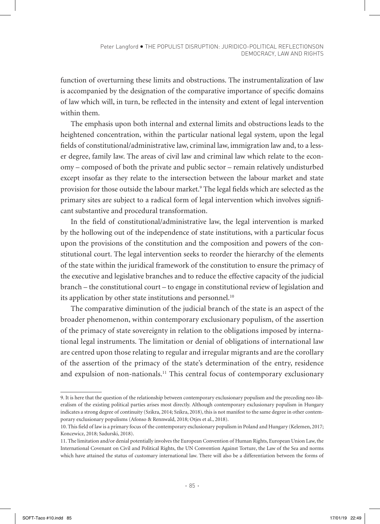function of overturning these limits and obstructions. The instrumentalization of law is accompanied by the designation of the comparative importance of specific domains of law which will, in turn, be reflected in the intensity and extent of legal intervention within them.

The emphasis upon both internal and external limits and obstructions leads to the heightened concentration, within the particular national legal system, upon the legal fields of constitutional/administrative law, criminal law, immigration law and, to a lesser degree, family law. The areas of civil law and criminal law which relate to the economy – composed of both the private and public sector – remain relatively undisturbed except insofar as they relate to the intersection between the labour market and state provision for those outside the labour market.9 The legal fields which are selected as the primary sites are subject to a radical form of legal intervention which involves significant substantive and procedural transformation.

In the field of constitutional/administrative law, the legal intervention is marked by the hollowing out of the independence of state institutions, with a particular focus upon the provisions of the constitution and the composition and powers of the constitutional court. The legal intervention seeks to reorder the hierarchy of the elements of the state within the juridical framework of the constitution to ensure the primacy of the executive and legislative branches and to reduce the effective capacity of the judicial branch – the constitutional court – to engage in constitutional review of legislation and its application by other state institutions and personnel.<sup>10</sup>

The comparative diminution of the judicial branch of the state is an aspect of the broader phenomenon, within contemporary exclusionary populism, of the assertion of the primacy of state sovereignty in relation to the obligations imposed by international legal instruments. The limitation or denial of obligations of international law are centred upon those relating to regular and irregular migrants and are the corollary of the assertion of the primacy of the state's determination of the entry, residence and expulsion of non-nationals.<sup>11</sup> This central focus of contemporary exclusionary

<sup>9.</sup> It is here that the question of the relationship between contemporary exclusionary populism and the preceding neo-liberalism of the existing political parties arises most directly. Although contemporary exclusionary populism in Hungary indicates a strong degree of continuity (Szikra, 2014; Szikra, 2018), this is not manifest to the same degree in other contemporary exclusionary populisms (Afonso & Rennwald, 2018; Otjes et al., 2018).

<sup>10.</sup> This field of law is a primary focus of the contemporary exclusionary populism in Poland and Hungary (Kelemen, 2017; Koncewicz, 2018; Sadurski, 2018).

<sup>11.</sup> The limitation and/or denial potentially involves the European Convention of Human Rights, European Union Law, the International Covenant on Civil and Political Rights, the UN Convention Against Torture, the Law of the Sea and norms which have attained the status of customary international law. There will also be a differentiation between the forms of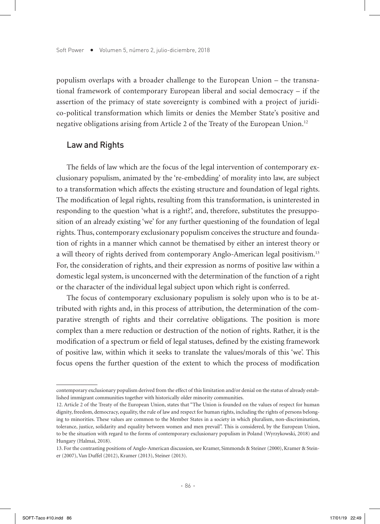populism overlaps with a broader challenge to the European Union – the transnational framework of contemporary European liberal and social democracy – if the assertion of the primacy of state sovereignty is combined with a project of juridico-political transformation which limits or denies the Member State's positive and negative obligations arising from Article 2 of the Treaty of the European Union.12

#### Law and Rights

The fields of law which are the focus of the legal intervention of contemporary exclusionary populism, animated by the 're-embedding' of morality into law, are subject to a transformation which affects the existing structure and foundation of legal rights. The modification of legal rights, resulting from this transformation, is uninterested in responding to the question 'what is a right?', and, therefore, substitutes the presupposition of an already existing 'we' for any further questioning of the foundation of legal rights. Thus, contemporary exclusionary populism conceives the structure and foundation of rights in a manner which cannot be thematised by either an interest theory or a will theory of rights derived from contemporary Anglo-American legal positivism.13 For, the consideration of rights, and their expression as norms of positive law within a domestic legal system, is unconcerned with the determination of the function of a right or the character of the individual legal subject upon which right is conferred.

The focus of contemporary exclusionary populism is solely upon who is to be attributed with rights and, in this process of attribution, the determination of the comparative strength of rights and their correlative obligations. The position is more complex than a mere reduction or destruction of the notion of rights. Rather, it is the modification of a spectrum or field of legal statuses, defined by the existing framework of positive law, within which it seeks to translate the values/morals of this 'we'. This focus opens the further question of the extent to which the process of modification

contemporary exclusionary populism derived from the effect of this limitation and/or denial on the status of already established immigrant communities together with historically older minority communities.

<sup>12.</sup> Article 2 of the Treaty of the European Union, states that "The Union is founded on the values of respect for human dignity, freedom, democracy, equality, the rule of law and respect for human rights, including the rights of persons belonging to minorities. These values are common to the Member States in a society in which pluralism, non-discrimination, tolerance, justice, solidarity and equality between women and men prevail". This is considered, by the European Union, to be the situation with regard to the forms of contemporary exclusionary populism in Poland (Wyrzykowski, 2018) and Hungary (Halmai, 2018).

<sup>13.</sup> For the contrasting positions of Anglo-American discussion, see Kramer, Simmonds & Steiner (2000), Kramer & Steiner (2007), Van Duffel (2012), Kramer (2013), Steiner (2013).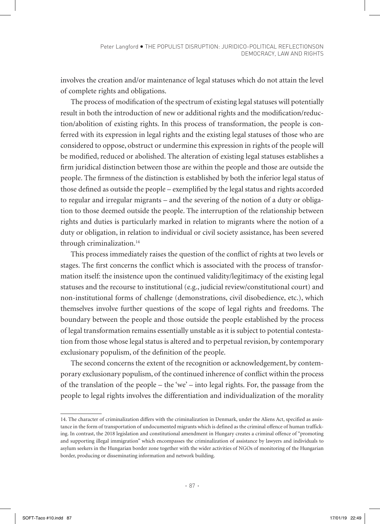involves the creation and/or maintenance of legal statuses which do not attain the level of complete rights and obligations.

The process of modification of the spectrum of existing legal statuses will potentially result in both the introduction of new or additional rights and the modification/reduction/abolition of existing rights. In this process of transformation, the people is conferred with its expression in legal rights and the existing legal statuses of those who are considered to oppose, obstruct or undermine this expression in rights of the people will be modified, reduced or abolished. The alteration of existing legal statuses establishes a firm juridical distinction between those are within the people and those are outside the people. The firmness of the distinction is established by both the inferior legal status of those defined as outside the people – exemplified by the legal status and rights accorded to regular and irregular migrants – and the severing of the notion of a duty or obligation to those deemed outside the people. The interruption of the relationship between rights and duties is particularly marked in relation to migrants where the notion of a duty or obligation, in relation to individual or civil society assistance, has been severed through criminalization.<sup>14</sup>

This process immediately raises the question of the conflict of rights at two levels or stages. The first concerns the conflict which is associated with the process of transformation itself: the insistence upon the continued validity/legitimacy of the existing legal statuses and the recourse to institutional (e.g., judicial review/constitutional court) and non-institutional forms of challenge (demonstrations, civil disobedience, etc.), which themselves involve further questions of the scope of legal rights and freedoms. The boundary between the people and those outside the people established by the process of legal transformation remains essentially unstable as it is subject to potential contestation from those whose legal status is altered and to perpetual revision, by contemporary exclusionary populism, of the definition of the people.

The second concerns the extent of the recognition or acknowledgement, by contemporary exclusionary populism, of the continued inherence of conflict within the process of the translation of the people – the 'we' – into legal rights. For, the passage from the people to legal rights involves the differentiation and individualization of the morality

<sup>14.</sup> The character of criminalization differs with the criminalization in Denmark, under the Aliens Act, specified as assistance in the form of transportation of undocumented migrants which is defined as the criminal offence of human trafficking. In contrast, the 2018 legislation and constitutional amendment in Hungary creates a criminal offence of "promoting and supporting illegal immigration" which encompasses the criminalization of assistance by lawyers and individuals to asylum seekers in the Hungarian border zone together with the wider activities of NGOs of monitoring of the Hungarian border, producing or disseminating information and network building.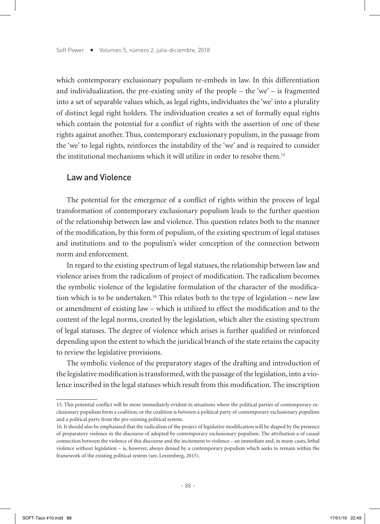which contemporary exclusionary populism re-embeds in law. In this differentiation and individualization, the pre-existing unity of the people  $-$  the 'we'  $-$  is fragmented into a set of separable values which, as legal rights, individuates the 'we' into a plurality of distinct legal right holders. The individuation creates a set of formally equal rights which contain the potential for a conflict of rights with the assertion of one of these rights against another. Thus, contemporary exclusionary populism, in the passage from the 'we' to legal rights, reinforces the instability of the 'we' and is required to consider the institutional mechanisms which it will utilize in order to resolve them.15

#### Law and Violence

The potential for the emergence of a conflict of rights within the process of legal transformation of contemporary exclusionary populism leads to the further question of the relationship between law and violence. This question relates both to the manner of the modification, by this form of populism, of the existing spectrum of legal statuses and institutions and to the populism's wider conception of the connection between norm and enforcement.

In regard to the existing spectrum of legal statuses, the relationship between law and violence arises from the radicalism of project of modification. The radicalism becomes the symbolic violence of the legislative formulation of the character of the modification which is to be undertaken.<sup>16</sup> This relates both to the type of legislation – new law or amendment of existing law – which is utilized to effect the modification and to the content of the legal norms, created by the legislation, which alter the existing spectrum of legal statuses. The degree of violence which arises is further qualified or reinforced depending upon the extent to which the juridical branch of the state retains the capacity to review the legislative provisions.

The symbolic violence of the preparatory stages of the drafting and introduction of the legislative modification is transformed, with the passage of the legislation, into a violence inscribed in the legal statuses which result from this modification. The inscription

<sup>15.</sup> This potential conflict will be more immediately evident in situations where the political parties of contemporary exclusionary populism form a coalition, or the coalition is between a political party of contemporary exclusionary populism and a political party from the pre-existing political system.

<sup>16.</sup> It should also be emphasized that the radicalism of the project of legislative modification will be shaped by the presence of preparatory violence in the discourse of adopted by contemporary exclusionary populism. The attribution a of causal connection between the violence of this discourse and the incitement to violence – an immediate and, in many cases, lethal violence without legislation – is, however, always denied by a contemporary populism which seeks to remain within the framework of the existing political system (see, Leezenberg, 2015).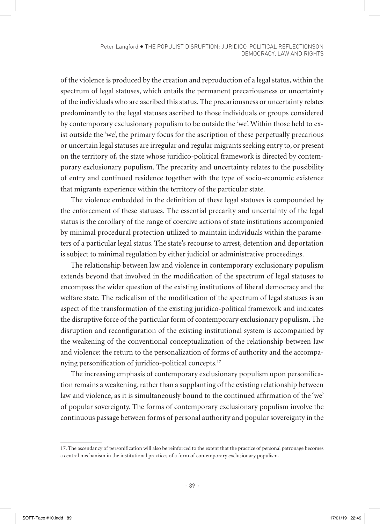of the violence is produced by the creation and reproduction of a legal status, within the spectrum of legal statuses, which entails the permanent precariousness or uncertainty of the individuals who are ascribed this status. The precariousness or uncertainty relates predominantly to the legal statuses ascribed to those individuals or groups considered by contemporary exclusionary populism to be outside the 'we'. Within those held to exist outside the 'we', the primary focus for the ascription of these perpetually precarious or uncertain legal statuses are irregular and regular migrants seeking entry to, or present on the territory of, the state whose juridico-political framework is directed by contemporary exclusionary populism. The precarity and uncertainty relates to the possibility of entry and continued residence together with the type of socio-economic existence that migrants experience within the territory of the particular state.

The violence embedded in the definition of these legal statuses is compounded by the enforcement of these statuses. The essential precarity and uncertainty of the legal status is the corollary of the range of coercive actions of state institutions accompanied by minimal procedural protection utilized to maintain individuals within the parameters of a particular legal status. The state's recourse to arrest, detention and deportation is subject to minimal regulation by either judicial or administrative proceedings.

The relationship between law and violence in contemporary exclusionary populism extends beyond that involved in the modification of the spectrum of legal statuses to encompass the wider question of the existing institutions of liberal democracy and the welfare state. The radicalism of the modification of the spectrum of legal statuses is an aspect of the transformation of the existing juridico-political framework and indicates the disruptive force of the particular form of contemporary exclusionary populism. The disruption and reconfiguration of the existing institutional system is accompanied by the weakening of the conventional conceptualization of the relationship between law and violence: the return to the personalization of forms of authority and the accompanying personification of juridico-political concepts.17

The increasing emphasis of contemporary exclusionary populism upon personification remains a weakening, rather than a supplanting of the existing relationship between law and violence, as it is simultaneously bound to the continued affirmation of the 'we' of popular sovereignty. The forms of contemporary exclusionary populism involve the continuous passage between forms of personal authority and popular sovereignty in the

<sup>17.</sup> The ascendancy of personification will also be reinforced to the extent that the practice of personal patronage becomes a central mechanism in the institutional practices of a form of contemporary exclusionary populism.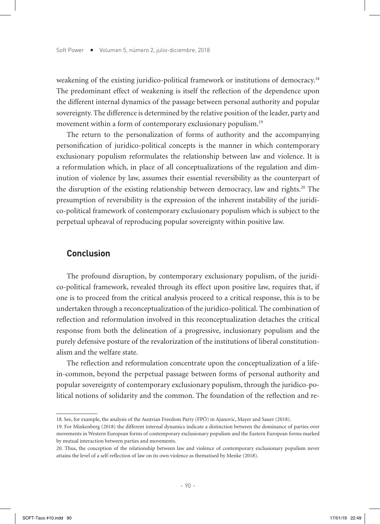weakening of the existing juridico-political framework or institutions of democracy.<sup>18</sup> The predominant effect of weakening is itself the reflection of the dependence upon the different internal dynamics of the passage between personal authority and popular sovereignty. The difference is determined by the relative position of the leader, party and movement within a form of contemporary exclusionary populism.<sup>19</sup>

The return to the personalization of forms of authority and the accompanying personification of juridico-political concepts is the manner in which contemporary exclusionary populism reformulates the relationship between law and violence. It is a reformulation which, in place of all conceptualizations of the regulation and diminution of violence by law, assumes their essential reversibility as the counterpart of the disruption of the existing relationship between democracy, law and rights.20 The presumption of reversibility is the expression of the inherent instability of the juridico-political framework of contemporary exclusionary populism which is subject to the perpetual upheaval of reproducing popular sovereignty within positive law.

#### **Conclusion**

The profound disruption, by contemporary exclusionary populism, of the juridico-political framework, revealed through its effect upon positive law, requires that, if one is to proceed from the critical analysis proceed to a critical response, this is to be undertaken through a reconceptualization of the juridico-political. The combination of reflection and reformulation involved in this reconceptualization detaches the critical response from both the delineation of a progressive, inclusionary populism and the purely defensive posture of the revalorization of the institutions of liberal constitutionalism and the welfare state.

The reflection and reformulation concentrate upon the conceptualization of a lifein-common, beyond the perpetual passage between forms of personal authority and popular sovereignty of contemporary exclusionary populism, through the juridico-political notions of solidarity and the common. The foundation of the reflection and re-

<sup>18.</sup> See, for example, the analysis of the Austrian Freedom Party (FPÖ) in Ajanovic, Mayer and Sauer (2018).

<sup>19.</sup> For Minkenberg (2018) the different internal dynamics indicate a distinction between the dominance of parties over movements in Western European forms of contemporary exclusionary populism and the Eastern European forms marked by mutual interaction between parties and movements.

<sup>20.</sup> Thus, the conception of the relationship between law and violence of contemporary exclusionary populism never attains the level of a self-reflection of law on its own violence as thematised by Menke (2018).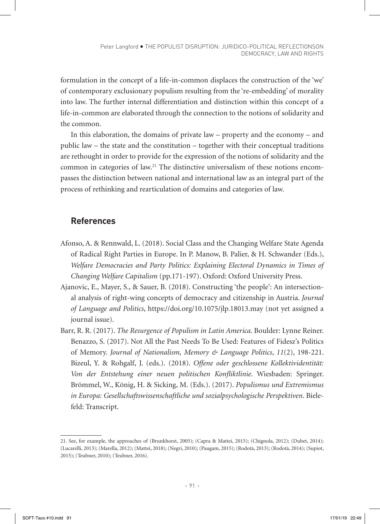formulation in the concept of a life-in-common displaces the construction of the 'we' of contemporary exclusionary populism resulting from the 're-embedding' of morality into law. The further internal differentiation and distinction within this concept of a life-in-common are elaborated through the connection to the notions of solidarity and the common.

In this elaboration, the domains of private law – property and the economy – and public law – the state and the constitution – together with their conceptual traditions are rethought in order to provide for the expression of the notions of solidarity and the common in categories of law.21 The distinctive universalism of these notions encompasses the distinction between national and international law as an integral part of the process of rethinking and rearticulation of domains and categories of law.

# **References**

- Afonso, A. & Rennwald, L. (2018). Social Class and the Changing Welfare State Agenda of Radical Right Parties in Europe. In P. Manow, B. Palier, & H. Schwander (Eds.), *Welfare Democracies and Party Politics: Explaining Electoral Dynamics in Times of Changing Welfare Capitalism* (pp.171-197). Oxford: Oxford University Press.
- Ajanovic, E., Mayer, S., & Sauer, B. (2018). Constructing 'the people': An intersectional analysis of right-wing concepts of democracy and citizenship in Austria. *Journal of Language and Politics*, https://doi.org/10.1075/jlp.18013.may (not yet assigned a journal issue).
- Barr, R. R. (2017). *The Resurgence of Populism in Latin America*. Boulder: Lynne Reiner. Benazzo, S. (2017). Not All the Past Needs To Be Used: Features of Fidesz's Politics of Memory. *Journal of Nationalism, Memory & Language Politics*, *11*(2), 198-221. Bizeul, Y. & Rohgalf, J. (eds.). (2018). *Offene oder geschlossene Kollektividentität: Von der Entstehung einer neuen politischen Konfliktlinie*. Wiesbaden: Springer. Brömmel, W., König, H. & Sicking, M. (Eds.). (2017). *Populismus und Extremismus in Europa: Gesellschaftswissenschaftliche und sozialpsychologische Perspektiven*. Bielefeld: Transcript.

<sup>21.</sup> See, for example, the approaches of (Brunkhorst, 2005); (Capra & Mattei, 2015); (Chignola, 2012); (Dubet, 2014); (Lucarelli, 2013); (Marella, 2012); (Mattei, 2018); (Negri, 2010); (Paugam, 2015); (Rodotà, 2013); (Rodotà, 2014); (Supiot, 2015); (Teubner, 2010); (Teubner, 2016).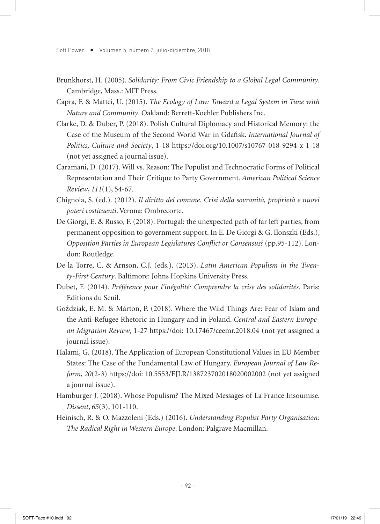- Brunkhorst, H. (2005). *Solidarity: From Civic Friendship to a Global Legal Community*. Cambridge, Mass.: MIT Press.
- Capra, F. & Mattei, U. (2015). *The Ecology of Law: Toward a Legal System in Tune with Nature and Community*. Oakland: Berrett-Koehler Publishers Inc.
- Clarke, D. & Duber, P. (2018). Polish Cultural Diplomacy and Historical Memory: the Case of the Museum of the Second World War in Gdańsk. *International Journal of Politics, Culture and Society*, 1-18 https://doi.org/10.1007/s10767-018-9294-x 1-18 (not yet assigned a journal issue).
- Caramani, D. (2017). Will vs. Reason: The Populist and Technocratic Forms of Political Representation and Their Critique to Party Government. *American Political Science Review*, *111*(1), 54-67.
- Chignola, S. (ed.). (2012). *Il diritto del comune. Crisi della sovranità, proprietà e nuovi poteri costituenti*. Verona: Ombrecorte.
- De Giorgi, E. & Russo, F. (2018). Portugal: the unexpected path of far left parties, from permanent opposition to government support. In E. De Giorgi & G. Ilonszki (Eds.), *Opposition Parties in European Legislatures Conflict or Consensus?* (pp.95-112). London: Routledge.
- De la Torre, C. & Arnson, C.J. (eds.). (2013). *Latin American Populism in the Twenty-First Century*. Baltimore: Johns Hopkins University Press.
- Dubet, F. (2014). *Préférence pour l'inégalité: Comprendre la crise des solidarités*. Paris: Editions du Seuil.
- Goździak, E. M. & Márton, P. (2018). Where the Wild Things Are: Fear of Islam and the Anti-Refugee Rhetoric in Hungary and in Poland. *Central and Eastern European Migration Review*, 1-27 https://doi: 10.17467/ceemr.2018.04 (not yet assigned a journal issue).
- Halami, G. (2018). The Application of European Constitutional Values in EU Member States: The Case of the Fundamental Law of Hungary. *European Journal of Law Reform*, *20*(2-3) https://doi: 10.5553/EJLR/138723702018020002002 (not yet assigned a journal issue).
- Hamburger J. (2018). Whose Populism? The Mixed Messages of La France Insoumise. *Dissent*, *65*(3), 101-110.
- Heinisch, R. & O. Mazzoleni (Eds.) (2016). *Understanding Populist Party Organisation: The Radical Right in Western Europe*. London: Palgrave Macmillan.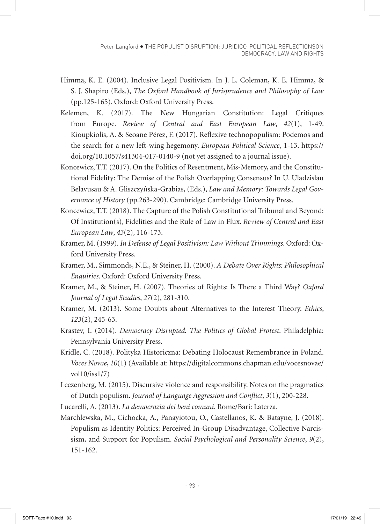- Himma, K. E. (2004). Inclusive Legal Positivism. In J. L. Coleman, K. E. Himma, & S. J. Shapiro (Eds.), *The Oxford Handbook of Jurisprudence and Philosophy of Law* (pp.125-165). Oxford: Oxford University Press.
- Kelemen, K. (2017). The New Hungarian Constitution: Legal Critiques from Europe. *Review of Central and East European Law*, *42*(1), 1-49. Kioupkiolis, A. & Seoane Pérez, F. (2017). Reflexive technopopulism: Podemos and the search for a new left-wing hegemony. *European Political Science*, 1-13. https:// doi.org/10.1057/s41304-017-0140-9 (not yet assigned to a journal issue).
- Koncewicz, T.T. (2017). On the Politics of Resentment, Mis-Memory, and the Constitutional Fidelity: The Demise of the Polish Overlapping Consensus? In U. Uladzislau Belavusau & A. Gliszczyńska-Grabias, (Eds.), *Law and Memory: Towards Legal Governance of History* (pp.263-290). Cambridge: Cambridge University Press.
- Koncewicz, T.T. (2018). The Capture of the Polish Constitutional Tribunal and Beyond: Of Institution(s), Fidelities and the Rule of Law in Flux. *Review of Central and East European Law*, *43*(2), 116-173.
- Kramer, M. (1999). *In Defense of Legal Positivism: Law Without Trimmings*. Oxford: Oxford University Press.
- Kramer, M., Simmonds, N.E., & Steiner, H. (2000). *A Debate Over Rights: Philosophical Enquiries*. Oxford: Oxford University Press.
- Kramer, M., & Steiner, H. (2007). Theories of Rights: Is There a Third Way? *Oxford Journal of Legal Studies*, *27*(2), 281-310.
- Kramer, M. (2013). Some Doubts about Alternatives to the Interest Theory. *Ethics*, *123*(2), 245-63.
- Krastev, I. (2014). *Democracy Disrupted. The Politics of Global Protest*. Philadelphia: Pennsylvania University Press.
- Kridle, C. (2018). Polityka Historiczna: Debating Holocaust Remembrance in Poland. *Voces Novae*, *10*(1) (Available at: https://digitalcommons.chapman.edu/vocesnovae/ vol10/iss1/7)
- Leezenberg, M. (2015). Discursive violence and responsibility. Notes on the pragmatics of Dutch populism. *Journal of Language Aggression and Conflict*, *3*(1), 200-228.
- Lucarelli, A. (2013). *La democrazia dei beni comuni*. Rome/Bari: Laterza.
- Marchlewska, M., Cichocka, A., Panayiotou, O., Castellanos, K. & Batayne, J. (2018). Populism as Identity Politics: Perceived In-Group Disadvantage, Collective Narcissism, and Support for Populism. *Social Psychological and Personality Science*, *9*(2), 151-162.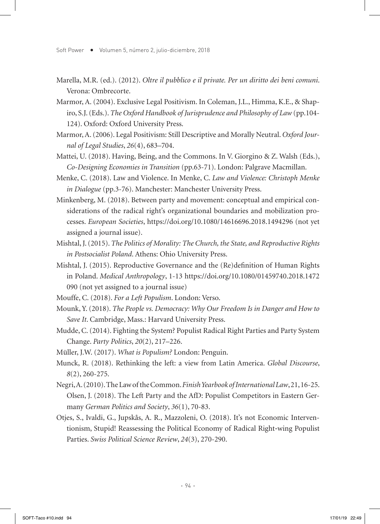- Marella, M.R. (ed.). (2012). *Oltre il pubblico e il private. Per un diritto dei beni comuni*. Verona: Ombrecorte.
- Marmor, A. (2004). Exclusive Legal Positivism. In Coleman, J.L., Himma, K.E., & Shapiro, S.J. (Eds.). *The Oxford Handbook of Jurisprudence and Philosophy of Law* (pp.104- 124). Oxford: Oxford University Press.
- Marmor, A. (2006). Legal Positivism: Still Descriptive and Morally Neutral. *Oxford Journal of Legal Studies*, *26*(4), 683–704.
- Mattei, U. (2018). Having, Being, and the Commons. In V. Giorgino & Z. Walsh (Eds.), *Co-Designing Economies in Transition* (pp.63-71). London: Palgrave Macmillan.
- Menke, C. (2018). Law and Violence. In Menke, C. *Law and Violence: Christoph Menke in Dialogue* (pp.3-76). Manchester: Manchester University Press.
- Minkenberg, M. (2018). Between party and movement: conceptual and empirical considerations of the radical right's organizational boundaries and mobilization processes. *European Societies*, https://doi.org/10.1080/14616696.2018.1494296 (not yet assigned a journal issue).
- Mishtal, J. (2015). *The Politics of Morality: The Church, the State, and Reproductive Rights in Postsocialist Poland*. Athens: Ohio University Press.
- Mishtal, J. (2015). Reproductive Governance and the (Re)definition of Human Rights in Poland. *Medical Anthropology*, 1-13 https://doi.org/10.1080/01459740.2018.1472 090 (not yet assigned to a journal issue)
- Mouffe, C. (2018). *For a Left Populism*. London: Verso.
- Mounk, Y. (2018). *The People vs. Democracy: Why Our Freedom Is in Danger and How to Save It*. Cambridge, Mass.: Harvard University Press.
- Mudde, C. (2014). Fighting the System? Populist Radical Right Parties and Party System Change. *Party Politics*, *20*(2), 217–226.
- Müller, J.W. (2017). *What is Populism?* London: Penguin.
- Munck, R. (2018). Rethinking the left: a view from Latin America. *Global Discourse*, *8*(2), 260-275.
- Negri, A. (2010). The Law of the Common. *Finish Yearbook of International Law*, 21, 16-25. Olsen, J. (2018). The Left Party and the AfD: Populist Competitors in Eastern Germany *German Politics and Society*, *36*(1), 70-83.
- Otjes, S., Ivaldi, G., Jupskås, A. R., Mazzoleni, O. (2018). It's not Economic Interventionism, Stupid! Reassessing the Political Economy of Radical Right‐wing Populist Parties. *Swiss Political Science Review*, *24*(3), 270-290.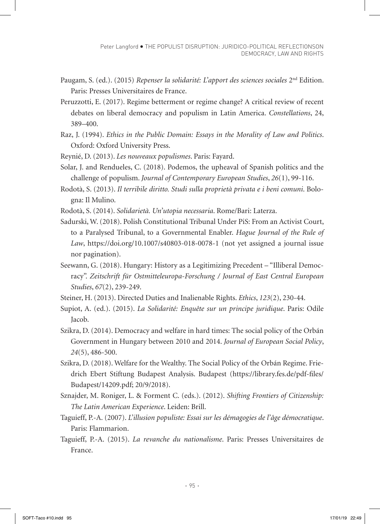- Paugam, S. (ed.). (2015) *Repenser la solidarité: L'apport des sciences sociales* 2nd Edition. Paris: Presses Universitaires de France.
- Peruzzotti, E. (2017). Regime betterment or regime change? A critical review of recent debates on liberal democracy and populism in Latin America. *Constellations*, 24, 389–400.
- Raz, J. (1994). *Ethics in the Public Domain: Essays in the Morality of Law and Politics*. Oxford: Oxford University Press.
- Reynié, D. (2013). *Les nouveaux populismes*. Paris: Fayard.
- Solar, J. and Rendueles, C. (2018). Podemos, the upheaval of Spanish politics and the challenge of populism. *Journal of Contemporary European Studies*, *26*(1), 99-116.
- Rodotà, S. (2013). *Il terribile diritto. Studi sulla proprietà privata e i beni comuni*. Bologna: Il Mulino.
- Rodotà, S. (2014). *Solidarietà. Un'utopia necessaria*. Rome/Bari: Laterza.
- Sadurski, W. (2018). Polish Constitutional Tribunal Under PiS: From an Activist Court, to a Paralysed Tribunal, to a Governmental Enabler. *Hague Journal of the Rule of Law*, https://doi.org/10.1007/s40803-018-0078-1 (not yet assigned a journal issue nor pagination).
- Seewann, G. (2018). Hungary: History as a Legitimizing Precedent "Illiberal Democracy". *Zeitschrift für Ostmitteleuropa-Forschung / Journal of East Central European Studies*, *67*(2), 239-249.
- Steiner, H. (2013). Directed Duties and Inalienable Rights. *Ethics*, *123*(2), 230-44.
- Supiot, A. (ed.). (2015). *La Solidarité: Enquête sur un principe juridique*. Paris: Odile Jacob.
- Szikra, D. (2014). Democracy and welfare in hard times: The social policy of the Orbán Government in Hungary between 2010 and 2014. *Journal of European Social Policy*, *24*(5), 486-500.
- Szikra, D. (2018). Welfare for the Wealthy. The Social Policy of the Orbán Regime. Friedrich Ebert Stiftung Budapest Analysis. Budapest (https://library.fes.de/pdf-files/ Budapest/14209.pdf; 20/9/2018).
- Sznajder, M. Roniger, L. & Forment C. (eds.). (2012). *Shifting Frontiers of Citizenship: The Latin American Experience*. Leiden: Brill.
- Taguieff, P.-A. (2007). *L'illusion populiste: Essai sur les démagogies de l'âge démocratique*. Paris: Flammarion.
- Taguieff, P.-A. (2015). *La revanche du nationalisme*. Paris: Presses Universitaires de France.